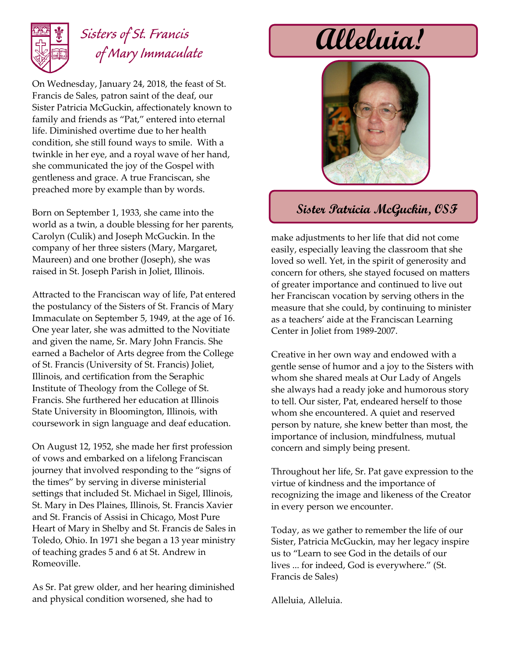

## *Sisters of St. Francis of Mary Immaculate*

On Wednesday, January 24, 2018, the feast of St. Francis de Sales, patron saint of the deaf, our Sister Patricia McGuckin, affectionately known to family and friends as "Pat," entered into eternal life. Diminished overtime due to her health condition, she still found ways to smile. With a twinkle in her eye, and a royal wave of her hand, she communicated the joy of the Gospel with gentleness and grace. A true Franciscan, she preached more by example than by words.

Born on September 1, 1933, she came into the world as a twin, a double blessing for her parents, Carolyn (Culik) and Joseph McGuckin. In the company of her three sisters (Mary, Margaret, Maureen) and one brother (Joseph), she was raised in St. Joseph Parish in Joliet, Illinois.

Attracted to the Franciscan way of life, Pat entered the postulancy of the Sisters of St. Francis of Mary Immaculate on September 5, 1949, at the age of 16. One year later, she was admitted to the Novitiate and given the name, Sr. Mary John Francis. She earned a Bachelor of Arts degree from the College of St. Francis (University of St. Francis) Joliet, Illinois, and certification from the Seraphic Institute of Theology from the College of St. Francis. She furthered her education at Illinois State University in Bloomington, Illinois, with coursework in sign language and deaf education.

On August 12, 1952, she made her first profession of vows and embarked on a lifelong Franciscan journey that involved responding to the "signs of the times" by serving in diverse ministerial settings that included St. Michael in Sigel, Illinois, St. Mary in Des Plaines, Illinois, St. Francis Xavier and St. Francis of Assisi in Chicago, Most Pure Heart of Mary in Shelby and St. Francis de Sales in Toledo, Ohio. In 1971 she began a 13 year ministry of teaching grades 5 and 6 at St. Andrew in Romeoville.

As Sr. Pat grew older, and her hearing diminished and physical condition worsened, she had to

## **Alleluia!**



## **Sister Patricia McGuckin, OSF**

make adjustments to her life that did not come easily, especially leaving the classroom that she loved so well. Yet, in the spirit of generosity and concern for others, she stayed focused on matters of greater importance and continued to live out her Franciscan vocation by serving others in the measure that she could, by continuing to minister as a teachers' aide at the Franciscan Learning Center in Joliet from 1989-2007.

Creative in her own way and endowed with a gentle sense of humor and a joy to the Sisters with whom she shared meals at Our Lady of Angels she always had a ready joke and humorous story to tell. Our sister, Pat, endeared herself to those whom she encountered. A quiet and reserved person by nature, she knew better than most, the importance of inclusion, mindfulness, mutual concern and simply being present.

Throughout her life, Sr. Pat gave expression to the virtue of kindness and the importance of recognizing the image and likeness of the Creator in every person we encounter.

Today, as we gather to remember the life of our Sister, Patricia McGuckin, may her legacy inspire us to "Learn to see God in the details of our lives ... for indeed, God is everywhere." (St. Francis de Sales)

Alleluia, Alleluia.